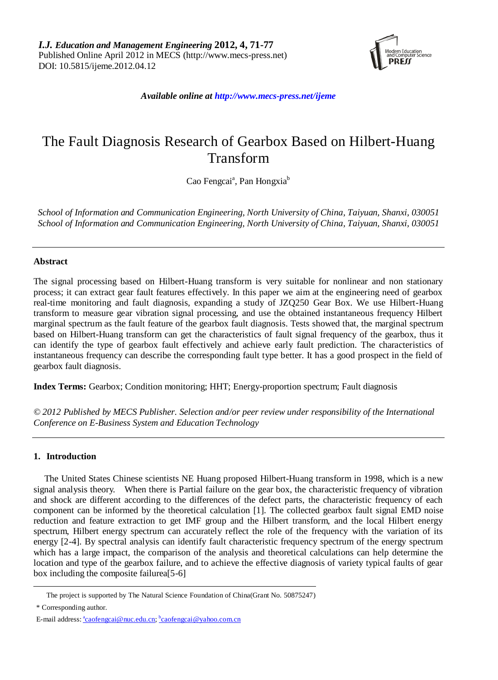

*Available online at http://www.mecs-press.net/ijeme*

# The Fault Diagnosis Research of Gearbox Based on Hilbert-Huang Transform

Cao Fengcai<sup>a</sup>, Pan Hongxia<sup>b</sup>

*School of Information and Communication Engineering, North University of China, Taiyuan, Shanxi, 030051 School of Information and Communication Engineering, North University of China, Taiyuan, Shanxi, 030051*

# **Abstract**

The signal processing based on Hilbert-Huang transform is very suitable for nonlinear and non stationary process; it can extract gear fault features effectively. In this paper we aim at the engineering need of gearbox real-time monitoring and fault diagnosis, expanding a study of JZQ250 Gear Box. We use Hilbert-Huang transform to measure gear vibration signal processing, and use the obtained instantaneous frequency Hilbert marginal spectrum as the fault feature of the gearbox fault diagnosis. Tests showed that, the marginal spectrum based on Hilbert-Huang transform can get the characteristics of fault signal frequency of the gearbox, thus it can identify the type of gearbox fault effectively and achieve early fault prediction. The characteristics of instantaneous frequency can describe the corresponding fault type better. It has a good prospect in the field of gearbox fault diagnosis.

**Index Terms:** Gearbox; Condition monitoring; HHT; Energy-proportion spectrum; Fault diagnosis

*© 2012 Published by MECS Publisher. Selection and/or peer review under responsibility of the International Conference on E-Business System and Education Technology*

# **1. Introduction**

The United States Chinese scientists NE Huang proposed Hilbert-Huang transform in 1998, which is a new signal analysis theory. When there is Partial failure on the gear box, the characteristic frequency of vibration and shock are different according to the differences of the defect parts, the characteristic frequency of each component can be informed by the theoretical calculation [1]. The collected gearbox fault signal EMD noise reduction and feature extraction to get IMF group and the Hilbert transform, and the local Hilbert energy spectrum, Hilbert energy spectrum can accurately reflect the role of the frequency with the variation of its energy [2-4]. By spectral analysis can identify fault characteristic frequency spectrum of the energy spectrum which has a large impact, the comparison of the analysis and theoretical calculations can help determine the location and type of the gearbox failure, and to achieve the effective diagnosis of variety typical faults of gear box including the composite failurea[5-6]

The project is supported by The Natural Science Foundation of China(Grant No. 50875247)

<sup>\*</sup> Corresponding author.

E-mail address: <u>ª[caofengcai@nuc.edu.cn;](mailto:acaofengcai@nuc.edu.cn) <sup>b</sup>[caofengcai@yahoo.com.cn](mailto:bcaofengcai@yahoo.com.cn)</u>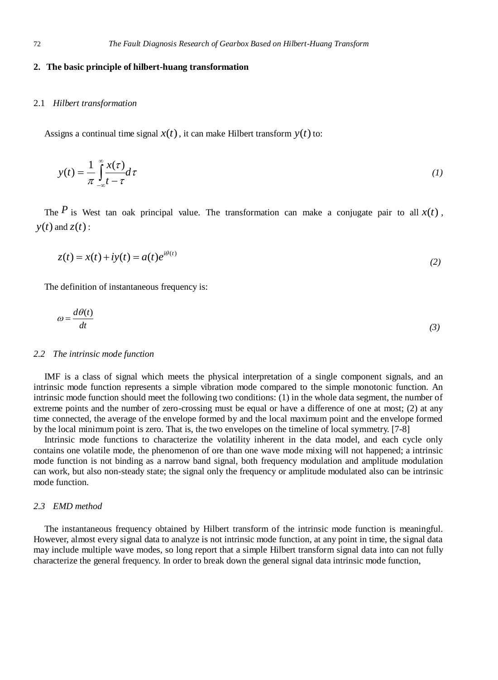# **2. The basic principle of hilbert-huang transformation**

## 2.1 *Hilbert transformation*

Assigns a continual time signal  $x(t)$ , it can make Hilbert transform  $y(t)$  to:

$$
y(t) = \frac{1}{\pi} \int_{-\infty}^{\infty} \frac{x(\tau)}{t - \tau} d\tau
$$
 (1)

The  $P$  is West tan oak principal value. The transformation can make a conjugate pair to all  $x(t)$ ,  $y(t)$  and  $z(t)$ :

$$
z(t) = x(t) + iy(t) = a(t)e^{i\theta(t)}
$$
\n(2)

The definition of instantaneous frequency is:

$$
\omega = \frac{d\theta(t)}{dt} \tag{3}
$$

## *2.2 The intrinsic mode function*

IMF is a class of signal which meets the physical interpretation of a single component signals, and an intrinsic mode function represents a simple vibration mode compared to the simple monotonic function. An intrinsic mode function should meet the following two conditions: (1) in the whole data segment, the number of extreme points and the number of zero-crossing must be equal or have a difference of one at most; (2) at any time connected, the average of the envelope formed by and the local maximum point and the envelope formed by the local minimum point is zero. That is, the two envelopes on the timeline of local symmetry. [7-8]

Intrinsic mode functions to characterize the volatility inherent in the data model, and each cycle only contains one volatile mode, the phenomenon of ore than one wave mode mixing will not happened; a intrinsic mode function is not binding as a narrow band signal, both frequency modulation and amplitude modulation can work, but also non-steady state; the signal only the frequency or amplitude modulated also can be intrinsic mode function.

# *2.3 EMD method*

The instantaneous frequency obtained by Hilbert transform of the intrinsic mode function is meaningful. However, almost every signal data to analyze is not intrinsic mode function, at any point in time, the signal data may include multiple wave modes, so long report that a simple Hilbert transform signal data into can not fully characterize the general frequency. In order to break down the general signal data intrinsic mode function,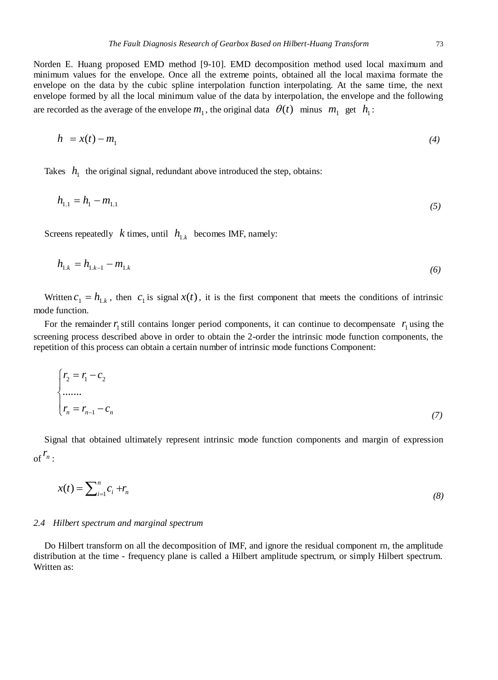$$
h = x(t) - m_1 \tag{4}
$$

Takes  $h_1$  the original signal, redundant above introduced the step, obtains:

$$
h_{1,1} = h_1 - m_{1,1} \tag{5}
$$

Screens repeatedly  $k$  times, until  $h_{1,k}$  becomes IMF, namely:

$$
h_{1,k} = h_{1,k-1} - m_{1,k} \tag{6}
$$

Written  $c_1 = h_{1,k}$ , then  $c_1$  is signal  $x(t)$ , it is the first component that meets the conditions of intrinsic mode function.

For the remainder  $r_1$  still contains longer period components, it can continue to decompensate  $r_1$  using the screening process described above in order to obtain the 2-order the intrinsic mode function components, the repetition of this process can obtain a certain number of intrinsic mode functions Component:

$$
\begin{cases}\nr_2 = r_1 - c_2 \\
\vdots \\
r_n = r_{n-1} - c_n\n\end{cases} \tag{7}
$$

Signal that obtained ultimately represent intrinsic mode function components and margin of expression of  $\int_0^r$ 

$$
x(t) = \sum_{i=1}^{n} c_i + r_n \tag{8}
$$

#### *2.4 Hilbert spectrum and marginal spectrum*

Do Hilbert transform on all the decomposition of IMF, and ignore the residual component rn, the amplitude distribution at the time - frequency plane is called a Hilbert amplitude spectrum, or simply Hilbert spectrum. Written as: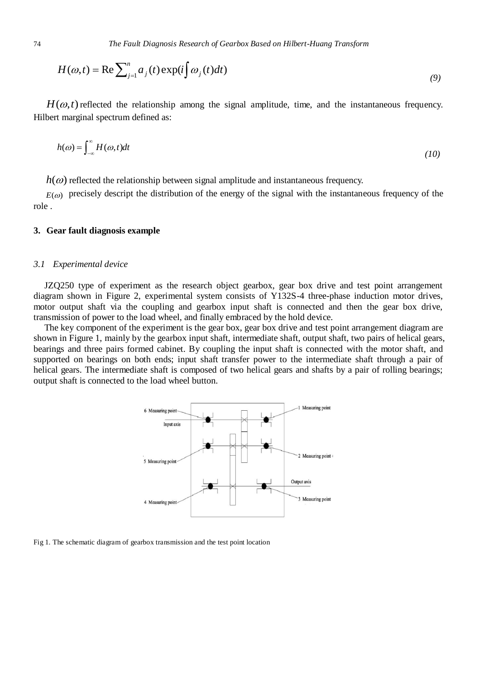$$
H(\omega, t) = \text{Re}\sum_{j=1}^{n} a_j(t) \exp(i \int \omega_j(t) dt)
$$
\n(9)

 $H(\omega, t)$  reflected the relationship among the signal amplitude, time, and the instantaneous frequency. Hilbert marginal spectrum defined as:

$$
h(\omega) = \int_{-\infty}^{\infty} H(\omega, t) dt \tag{10}
$$

 $h(\omega)$  reflected the relationship between signal amplitude and instantaneous frequency.

 $E(\omega)$  precisely descript the distribution of the energy of the signal with the instantaneous frequency of the role .

## **3. Gear fault diagnosis example**

## *3.1 Experimental device*

JZQ250 type of experiment as the research object gearbox, gear box drive and test point arrangement diagram shown in Figure 2, experimental system consists of Y132S-4 three-phase induction motor drives, motor output shaft via the coupling and gearbox input shaft is connected and then the gear box drive, transmission of power to the load wheel, and finally embraced by the hold device.

The key component of the experiment is the gear box, gear box drive and test point arrangement diagram are shown in Figure 1, mainly by the gearbox input shaft, intermediate shaft, output shaft, two pairs of helical gears, bearings and three pairs formed cabinet. By coupling the input shaft is connected with the motor shaft, and supported on bearings on both ends; input shaft transfer power to the intermediate shaft through a pair of helical gears. The intermediate shaft is composed of two helical gears and shafts by a pair of rolling bearings; output shaft is connected to the load wheel button.



Fig 1. The schematic diagram of gearbox transmission and the test point location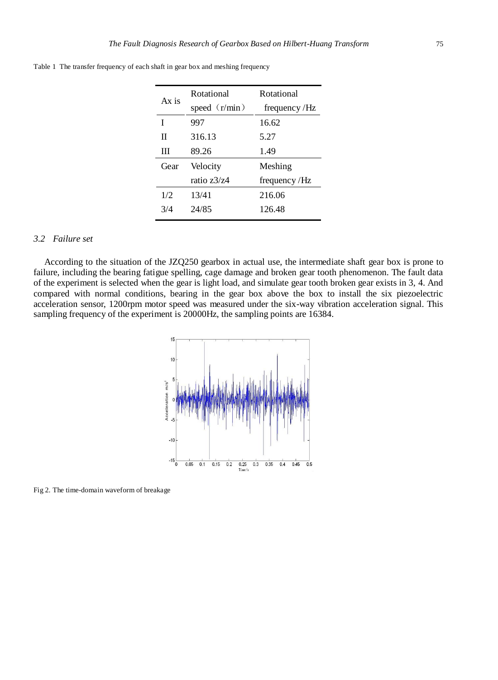| $Ax$ is | Rotational      | Rotational      |
|---------|-----------------|-----------------|
|         | speed $(r/min)$ | frequency $/Hz$ |
| I       | 997             | 16.62           |
| H       | 316.13          | 5.27            |
| Ш       | 89.26           | 1.49            |
| Gear    | Velocity        | Meshing         |
|         | ratio $z3/z4$   | frequency $/Hz$ |
| 1/2     | 13/41           | 216.06          |
| 3/4     | 24/85           | 126.48          |
|         |                 |                 |

Table 1 The transfer frequency of each shaft in gear box and meshing frequency

# *3.2 Failure set*

According to the situation of the JZQ250 gearbox in actual use, the intermediate shaft gear box is prone to failure, including the bearing fatigue spelling, cage damage and broken gear tooth phenomenon. The fault data of the experiment is selected when the gear is light load, and simulate gear tooth broken gear exists in 3, 4. And compared with normal conditions, bearing in the gear box above the box to install the six piezoelectric acceleration sensor, 1200rpm motor speed was measured under the six-way vibration acceleration signal. This sampling frequency of the experiment is 20000Hz, the sampling points are 16384.



Fig 2. The time-domain waveform of breakage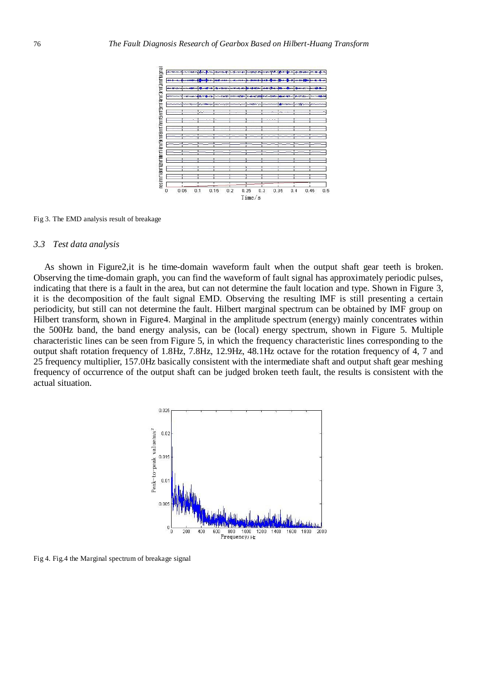

Fig 3. The EMD analysis result of breakage

## *3.3 Test data analysis*

As shown in Figure2,it is he time-domain waveform fault when the output shaft gear teeth is broken. Observing the time-domain graph, you can find the waveform of fault signal has approximately periodic pulses, indicating that there is a fault in the area, but can not determine the fault location and type. Shown in Figure 3, it is the decomposition of the fault signal EMD. Observing the resulting IMF is still presenting a certain periodicity, but still can not determine the fault. Hilbert marginal spectrum can be obtained by IMF group on Hilbert transform, shown in Figure4. Marginal in the amplitude spectrum (energy) mainly concentrates within the 500Hz band, the band energy analysis, can be (local) energy spectrum, shown in Figure 5. Multiple characteristic lines can be seen from Figure 5, in which the frequency characteristic lines corresponding to the output shaft rotation frequency of 1.8Hz, 7.8Hz, 12.9Hz, 48.1Hz octave for the rotation frequency of 4, 7 and 25 frequency multiplier, 157.0Hz basically consistent with the intermediate shaft and output shaft gear meshing frequency of occurrence of the output shaft can be judged broken teeth fault, the results is consistent with the actual situation.



Fig 4. Fig.4 the Marginal spectrum of breakage signal